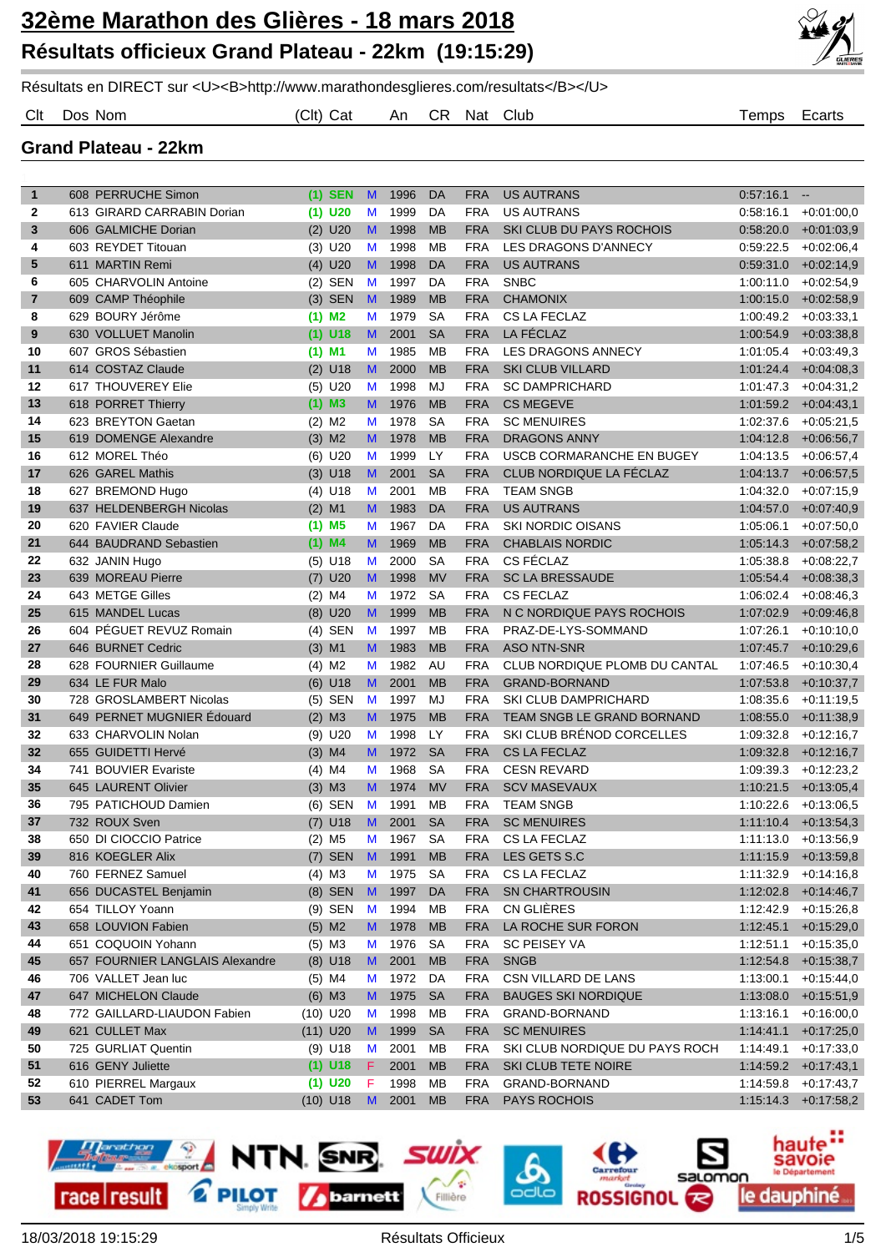

Résultats en DIRECT sur <U><B>http://www.marathondesglieres.com/resultats</B></U>

Clt Dos Nom (Clt) Cat An CR Nat Club Temps Ecarts

**Grand Plateau - 22km**

| 1  | 608 PERRUCHE Simon              | $(1)$ SEN            | <b>M</b>     | 1996 | DA              | FRA        | <b>US AUTRANS</b>              | 0.57:16.1 | $\sim$                  |
|----|---------------------------------|----------------------|--------------|------|-----------------|------------|--------------------------------|-----------|-------------------------|
| 2  | 613 GIRARD CARRABIN Dorian      | $(1)$ U20            | M            | 1999 | DA              | <b>FRA</b> | <b>US AUTRANS</b>              | 0.58.16.1 | $+0.01:00.0$            |
| 3  | 606 GALMICHE Dorian             | $(2)$ U20            | M            | 1998 | <b>MB</b>       | <b>FRA</b> | SKI CLUB DU PAYS ROCHOIS       | 0:58:20.0 | $+0.01:03,9$            |
| 4  | 603 REYDET Titouan              | $(3)$ U20            | M            | 1998 | MB              | <b>FRA</b> | LES DRAGONS D'ANNECY           | 0:59:22.5 | $+0.02:06,4$            |
| 5  | 611 MARTIN Remi                 | $(4)$ U20            | $\mathsf{M}$ | 1998 | DA              | <b>FRA</b> | <b>US AUTRANS</b>              | 0:59:31.0 | $+0.02:14.9$            |
| 6  | 605 CHARVOLIN Antoine           | $(2)$ SEN            | M            | 1997 | DA              | <b>FRA</b> | <b>SNBC</b>                    | 1:00:11.0 | $+0.02:54,9$            |
| 7  | 609 CAMP Théophile              | $(3)$ SEN            | $\mathbf{M}$ | 1989 | <b>MB</b>       | <b>FRA</b> | <b>CHAMONIX</b>                | 1:00:15.0 | $+0.02:58,9$            |
| 8  | 629 BOURY Jérôme                | $(1)$ M <sub>2</sub> | M            | 1979 | <b>SA</b>       | FRA        | <b>CS LA FECLAZ</b>            | 1:00:49.2 | $+0.03.33.1$            |
| 9  | 630 VOLLUET Manolin             | $(1)$ U18            | M            | 2001 | <b>SA</b>       | <b>FRA</b> | LA FÉCLAZ                      | 1:00:54.9 | $+0.03.38.8$            |
| 10 | 607 GROS Sébastien              | $(1)$ M1             | M            | 1985 | MB              | <b>FRA</b> | LES DRAGONS ANNECY             | 1:01:05.4 | $+0.03:49.3$            |
| 11 | 614 COSTAZ Claude               | $(2)$ U18            | M            | 2000 | <b>MB</b>       | <b>FRA</b> | <b>SKI CLUB VILLARD</b>        | 1:01:24.4 | $+0.04:08,3$            |
| 12 | 617 THOUVEREY Elie              | $(5)$ U20            | M            | 1998 | MJ              | <b>FRA</b> | <b>SC DAMPRICHARD</b>          | 1:01:47.3 | $+0.04:31,2$            |
| 13 | 618 PORRET Thierry              | $(1)$ M3             | M            | 1976 | <b>MB</b>       | <b>FRA</b> | <b>CS MEGEVE</b>               | 1:01:59.2 | $+0.04:43,1$            |
| 14 | 623 BREYTON Gaetan              | $(2)$ M <sub>2</sub> | M            | 1978 | <b>SA</b>       | <b>FRA</b> | <b>SC MENUIRES</b>             | 1:02:37.6 | $+0.05:21.5$            |
| 15 | 619 DOMENGE Alexandre           | $(3)$ M2             | M            | 1978 | <b>MB</b>       | <b>FRA</b> | <b>DRAGONS ANNY</b>            | 1:04:12.8 | $+0.06:56,7$            |
| 16 | 612 MOREL Théo                  | $(6)$ U20            | M            | 1999 | <b>LY</b>       | <b>FRA</b> | USCB CORMARANCHE EN BUGEY      | 1:04:13.5 | $+0.06.57,4$            |
| 17 | 626 GAREL Mathis                | $(3)$ U18            | M            | 2001 | <b>SA</b>       | <b>FRA</b> | CLUB NORDIQUE LA FÉCLAZ        | 1:04:13.7 | $+0.06:57,5$            |
| 18 | 627 BREMOND Hugo                | $(4)$ U18            | M            | 2001 | MB              | <b>FRA</b> | <b>TEAM SNGB</b>               | 1:04:32.0 | $+0.07:15.9$            |
| 19 | 637 HELDENBERGH Nicolas         | $(2)$ M1             | M            | 1983 | DA              | <b>FRA</b> | <b>US AUTRANS</b>              | 1:04:57.0 | $+0.07:40,9$            |
| 20 | 620 FAVIER Claude               | $(1)$ M <sub>5</sub> | M            | 1967 | DA              | <b>FRA</b> | <b>SKI NORDIC OISANS</b>       | 1:05:06.1 | $+0.07:50,0$            |
| 21 | 644 BAUDRAND Sebastien          | $(1)$ M4             | M            | 1969 | <b>MB</b>       | <b>FRA</b> | <b>CHABLAIS NORDIC</b>         | 1:05:14.3 | $+0.07:58,2$            |
| 22 | 632 JANIN Hugo                  | $(5)$ U18            | M            | 2000 | <b>SA</b>       | <b>FRA</b> | CS FÉCLAZ                      | 1:05:38.8 | $+0.08:22.7$            |
| 23 | 639 MOREAU Pierre               | $(7)$ U20            | M            | 1998 | <b>MV</b>       | <b>FRA</b> | <b>SC LA BRESSAUDE</b>         | 1:05:54.4 | $+0.08:38,3$            |
| 24 | 643 METGE Gilles                | $(2)$ M4             | M            | 1972 | <b>SA</b>       | <b>FRA</b> | <b>CS FECLAZ</b>               | 1:06:02.4 | $+0.08:46,3$            |
| 25 | 615 MANDEL Lucas                | $(8)$ U20            | M            | 1999 | <b>MB</b>       | <b>FRA</b> | N C NORDIQUE PAYS ROCHOIS      | 1:07:02.9 | $+0.09:46,8$            |
| 26 | 604 PÉGUET REVUZ Romain         | $(4)$ SEN            | M            | 1997 | MB              | <b>FRA</b> | PRAZ-DE-LYS-SOMMAND            | 1:07:26.1 | $+0:10:10,0$            |
| 27 | 646 BURNET Cedric               | $(3)$ M1             | M            | 1983 | <b>MB</b>       | <b>FRA</b> | <b>ASO NTN-SNR</b>             | 1:07:45.7 | $+0.10:29,6$            |
| 28 | 628 FOURNIER Guillaume          | $(4)$ M2             | M            | 1982 | AU              | <b>FRA</b> | CLUB NORDIQUE PLOMB DU CANTAL  | 1:07:46.5 | $+0.10.30,4$            |
| 29 | 634 LE FUR Malo                 | $(6)$ U18            | M            | 2001 | <b>MB</b>       | <b>FRA</b> | <b>GRAND-BORNAND</b>           | 1:07:53.8 | $+0.10.37,7$            |
| 30 | 728 GROSLAMBERT Nicolas         | $(5)$ SEN            | M            | 1997 | MJ              | <b>FRA</b> | <b>SKI CLUB DAMPRICHARD</b>    | 1:08:35.6 | $+0.11:19.5$            |
| 31 | 649 PERNET MUGNIER Edouard      | $(2)$ M3             | M            | 1975 | <b>MB</b>       | <b>FRA</b> | TEAM SNGB LE GRAND BORNAND     | 1:08:55.0 | $+0.11.38.9$            |
| 32 | 633 CHARVOLIN Nolan             | $(9)$ U20            | M            | 1998 | LY              | <b>FRA</b> | SKI CLUB BRÉNOD CORCELLES      | 1:09:32.8 | $+0.12:16,7$            |
| 32 | 655 GUIDETTI Hervé              | $(3)$ M4             | M            | 1972 | <b>SA</b>       | <b>FRA</b> | <b>CS LA FECLAZ</b>            | 1:09:32.8 | $+0.12:16,7$            |
| 34 | 741 BOUVIER Evariste            |                      | M            | 1968 | <b>SA</b>       | <b>FRA</b> | <b>CESN REVARD</b>             | 1:09:39.3 | $+0:12:23,2$            |
| 35 | 645 LAURENT Olivier             | $(4)$ M4             | M            | 1974 | <b>MV</b>       | <b>FRA</b> | <b>SCV MASEVAUX</b>            |           |                         |
|    |                                 | $(3)$ M3             |              |      |                 |            |                                | 1:10:21.5 | $+0.13.05,4$            |
| 36 | 795 PATICHOUD Damien            | $(6)$ SEN            | M            | 1991 | MB<br><b>SA</b> | <b>FRA</b> | <b>TEAM SNGB</b>               | 1:10:22.6 | $+0.13.06.5$            |
| 37 | 732 ROUX Sven                   | $(7)$ U18            | M            | 2001 |                 | <b>FRA</b> | <b>SC MENUIRES</b>             | 1:11:10.4 | $+0.13.54,3$            |
| 38 | 650 DI CIOCCIO Patrice          | $(2)$ M <sub>5</sub> | M            | 1967 | <b>SA</b>       | <b>FRA</b> | <b>CS LA FECLAZ</b>            |           | $1:11:13.0 + 0:13.56.9$ |
| 39 | 816 KOEGLER Alix                | $(7)$ SEN M          |              | 1991 | <b>MB</b>       | FRA        | LES GETS S.C                   |           | $1:11:15.9$ +0:13:59,8  |
| 40 | 760 FERNEZ Samuel               | $(4)$ M3             | M            | 1975 | SA              | <b>FRA</b> | CS LA FECLAZ                   | 1:11:32.9 | $+0.14.16,8$            |
| 41 | 656 DUCASTEL Benjamin           | (8) SEN M            |              | 1997 | DA              | <b>FRA</b> | SN CHARTROUSIN                 | 1:12:02.8 | $+0.14.46,7$            |
| 42 | 654 TILLOY Yoann                | (9) SEN M            |              | 1994 | MB              | <b>FRA</b> | CN GLIÈRES                     | 1:12:42.9 | $+0.15.26,8$            |
| 43 | 658 LOUVION Fabien              | $(5)$ M2             | M            | 1978 | <b>MB</b>       | <b>FRA</b> | LA ROCHE SUR FORON             | 1:12:45.1 | $+0.15:29,0$            |
| 44 | 651 COQUOIN Yohann              | $(5)$ M3             | M            | 1976 | <b>SA</b>       | <b>FRA</b> | SC PEISEY VA                   | 1:12:51.1 | $+0.15.35,0$            |
| 45 | 657 FOURNIER LANGLAIS Alexandre | $(8)$ U18            | M            | 2001 | <b>MB</b>       | <b>FRA</b> | <b>SNGB</b>                    | 1:12:54.8 | $+0.15.38,7$            |
| 46 | 706 VALLET Jean luc             | $(5)$ M4             | M            | 1972 | DA              | FRA        | CSN VILLARD DE LANS            | 1:13:00.1 | $+0.15.44.0$            |
| 47 | 647 MICHELON Claude             | $(6)$ M3             | M.           | 1975 | <b>SA</b>       | <b>FRA</b> | <b>BAUGES SKI NORDIQUE</b>     | 1:13:08.0 | $+0.15.51,9$            |
| 48 | 772 GAILLARD-LIAUDON Fabien     | $(10)$ U20           | M            | 1998 | MB              | <b>FRA</b> | GRAND-BORNAND                  | 1:13:16.1 | $+0.16:00,0$            |
| 49 | 621 CULLET Max                  | $(11)$ U20           | M            | 1999 | <b>SA</b>       | <b>FRA</b> | <b>SC MENUIRES</b>             | 1:14:41.1 | $+0.17:25,0$            |
| 50 | 725 GURLIAT Quentin             | $(9)$ U18            | M            | 2001 | МB              | <b>FRA</b> | SKI CLUB NORDIQUE DU PAYS ROCH | 1:14:49.1 | $+0:17:33,0$            |
| 51 | 616 GENY Juliette               | $(1)$ U18            | F.           | 2001 | <b>MB</b>       | <b>FRA</b> | SKI CLUB TETE NOIRE            |           | $1:14:59.2 +0:17:43,1$  |
| 52 | 610 PIERREL Margaux             | $(1)$ U20            | F            | 1998 | MB              | <b>FRA</b> | GRAND-BORNAND                  | 1:14:59.8 | $+0.17:43,7$            |
| 53 | 641 CADET Tom                   | $(10)$ U18 M         |              | 2001 | <b>MB</b>       | <b>FRA</b> | <b>PAYS ROCHOIS</b>            | 1:15:14.3 | $+0.17.58,2$            |

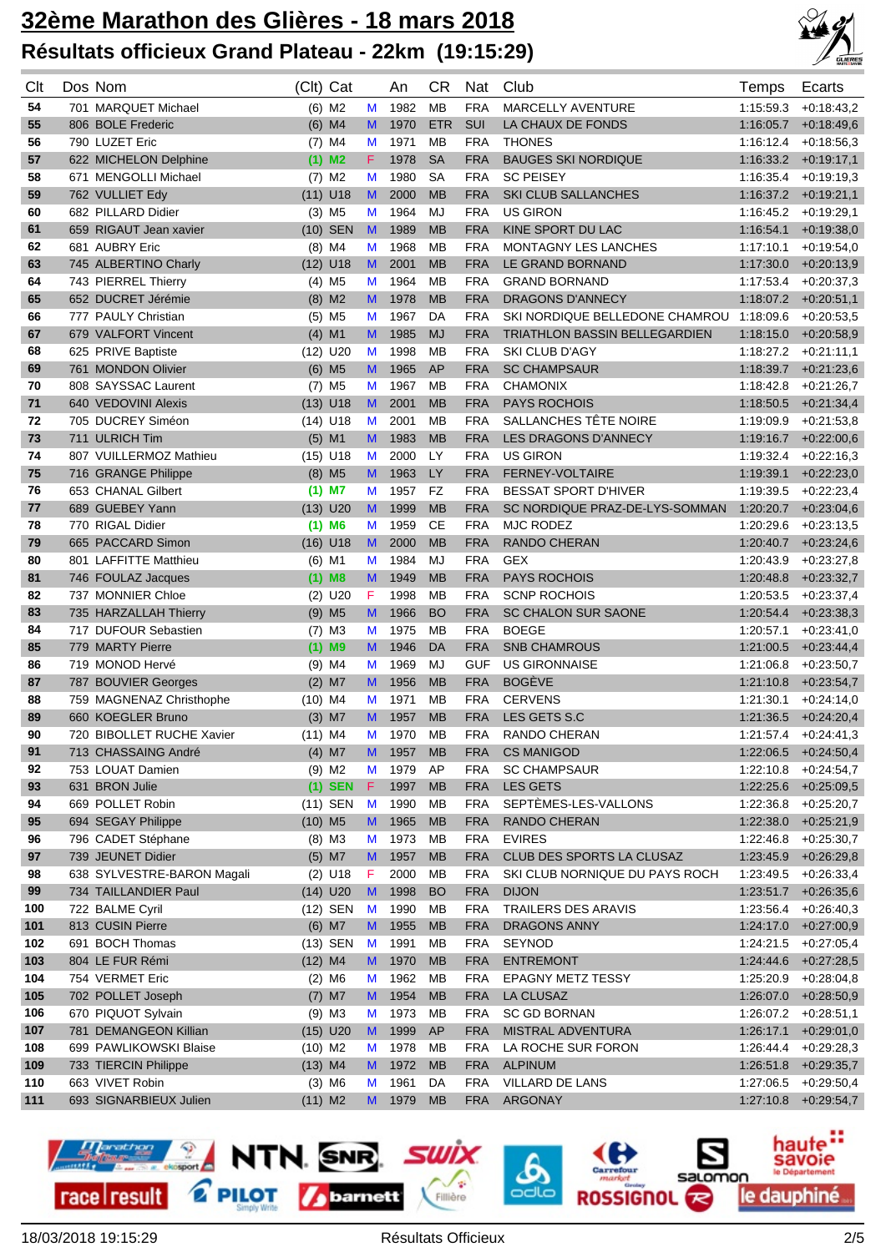

| Clt | Dos Nom                    | (Clt) Cat            |                      |    | An   | СR         | Nat        | Club                           | Temps     | Ecarts                 |
|-----|----------------------------|----------------------|----------------------|----|------|------------|------------|--------------------------------|-----------|------------------------|
| 54  | 701 MARQUET Michael        |                      | $(6)$ M <sub>2</sub> | M  | 1982 | <b>MB</b>  | <b>FRA</b> | MARCELLY AVENTURE              | 1:15:59.3 | $+0.18:43.2$           |
| 55  | 806 BOLE Frederic          |                      | $(6)$ M4             | M  | 1970 | <b>ETR</b> | <b>SUI</b> | LA CHAUX DE FONDS              | 1:16:05.7 | $+0.18:49.6$           |
| 56  | 790 LUZET Eric             |                      | $(7)$ M4             | M  | 1971 | МB         | <b>FRA</b> | <b>THONES</b>                  | 1:16:12.4 | $+0.18.56,3$           |
| 57  | 622 MICHELON Delphine      | $(1)$ M <sub>2</sub> |                      | F. | 1978 | <b>SA</b>  | <b>FRA</b> | <b>BAUGES SKI NORDIQUE</b>     | 1:16:33.2 | $+0.19:17,1$           |
| 58  | 671 MENGOLLI Michael       |                      | $(7)$ M2             | M  | 1980 | <b>SA</b>  | <b>FRA</b> | <b>SC PEISEY</b>               | 1:16:35.4 | $+0.19.19.3$           |
| 59  | 762 VULLIET Edy            | $(11)$ U18           |                      | M  | 2000 | <b>MB</b>  | <b>FRA</b> | <b>SKI CLUB SALLANCHES</b>     |           | $1:16:37.2$ +0:19:21,1 |
| 60  | 682 PILLARD Didier         |                      | $(3)$ M <sub>5</sub> | M  | 1964 | MJ         | <b>FRA</b> | <b>US GIRON</b>                | 1:16:45.2 | $+0.19:29,1$           |
| 61  | 659 RIGAUT Jean xavier     |                      | $(10)$ SEN           | M  | 1989 | <b>MB</b>  | <b>FRA</b> | KINE SPORT DU LAC              | 1:16:54.1 | $+0.19.38,0$           |
| 62  | 681 AUBRY Eric             |                      | $(8)$ M4             | M  | 1968 | MB         | <b>FRA</b> | <b>MONTAGNY LES LANCHES</b>    | 1:17:10.1 | $+0.19.54,0$           |
| 63  | 745 ALBERTINO Charly       | $(12)$ U18           |                      | M  | 2001 | <b>MB</b>  | <b>FRA</b> | LE GRAND BORNAND               | 1:17:30.0 | $+0.20:13,9$           |
| 64  | 743 PIERREL Thierry        |                      | $(4)$ M <sub>5</sub> | M  | 1964 | МB         | <b>FRA</b> | <b>GRAND BORNAND</b>           | 1:17:53.4 | $+0:20:37,3$           |
| 65  | 652 DUCRET Jérémie         |                      | $(8)$ M2             | M  | 1978 | <b>MB</b>  | <b>FRA</b> | <b>DRAGONS D'ANNECY</b>        |           | $1:18.07.2$ +0:20:51,1 |
| 66  | 777 PAULY Christian        |                      | $(5)$ M <sub>5</sub> | M  | 1967 | DA         | <b>FRA</b> | SKI NORDIQUE BELLEDONE CHAMROU | 1:18:09.6 | $+0.20.53.5$           |
| 67  | 679 VALFORT Vincent        | $(4)$ M1             |                      | M  | 1985 | <b>MJ</b>  | <b>FRA</b> | TRIATHLON BASSIN BELLEGARDIEN  | 1:18:15.0 | $+0.20.58.9$           |
| 68  | 625 PRIVE Baptiste         | $(12)$ U20           |                      | M  | 1998 | <b>MB</b>  | <b>FRA</b> | <b>SKI CLUB D'AGY</b>          | 1:18:27.2 | $+0:21:11,1$           |
| 69  | 761 MONDON Olivier         | $(6)$ M <sub>5</sub> |                      | M  | 1965 | AP         | <b>FRA</b> | <b>SC CHAMPSAUR</b>            | 1:18:39.7 | $+0.21:23,6$           |
| 70  | 808 SAYSSAC Laurent        |                      | $(7)$ M <sub>5</sub> | M  | 1967 | <b>MB</b>  | <b>FRA</b> | <b>CHAMONIX</b>                | 1:18:42.8 | $+0:21:26,7$           |
| 71  | 640 VEDOVINI Alexis        | $(13)$ U18           |                      | M  | 2001 | <b>MB</b>  | <b>FRA</b> | <b>PAYS ROCHOIS</b>            | 1:18:50.5 | $+0.21:34,4$           |
| 72  | 705 DUCREY Siméon          | $(14)$ U18           |                      | M  | 2001 | MB         | <b>FRA</b> | SALLANCHES TÊTE NOIRE          | 1:19:09.9 | $+0.21.53.8$           |
| 73  | 711 ULRICH Tim             | $(5)$ M1             |                      | M  | 1983 | <b>MB</b>  | <b>FRA</b> | LES DRAGONS D'ANNECY           | 1:19:16.7 | $+0.22:00,6$           |
| 74  | 807 VUILLERMOZ Mathieu     | $(15)$ U18           |                      | M  | 2000 | <b>LY</b>  | <b>FRA</b> | <b>US GIRON</b>                | 1:19:32.4 | $+0.22:16.3$           |
| 75  | 716 GRANGE Philippe        |                      | $(8)$ M5             | M  | 1963 | LY         | <b>FRA</b> | <b>FERNEY-VOLTAIRE</b>         | 1:19:39.1 | $+0.22:23,0$           |
| 76  | 653 CHANAL Gilbert         | $(1)$ M7             |                      | M  | 1957 | <b>FZ</b>  | <b>FRA</b> | <b>BESSAT SPORT D'HIVER</b>    | 1:19:39.5 | $+0.22:23,4$           |
| 77  | 689 GUEBEY Yann            | $(13)$ U20           |                      | M  | 1999 | <b>MB</b>  | <b>FRA</b> | SC NORDIQUE PRAZ-DE-LYS-SOMMAN | 1:20:20.7 | $+0.23:04,6$           |
| 78  | 770 RIGAL Didier           | $(1)$ M6             |                      | M  | 1959 | <b>CE</b>  | <b>FRA</b> | <b>MJC RODEZ</b>               | 1:20:29.6 | $+0.23:13.5$           |
| 79  | 665 PACCARD Simon          | $(16)$ U18           |                      | M  | 2000 | <b>MB</b>  | <b>FRA</b> | <b>RANDO CHERAN</b>            | 1:20:40.7 | $+0.23:24,6$           |
| 80  | 801 LAFFITTE Matthieu      | $(6)$ M1             |                      | M  | 1984 | MJ         | <b>FRA</b> | <b>GEX</b>                     | 1:20:43.9 | $+0.23:27,8$           |
| 81  | 746 FOULAZ Jacques         |                      | $(1)$ M8             | M  | 1949 | <b>MB</b>  | <b>FRA</b> | <b>PAYS ROCHOIS</b>            | 1:20:48.8 | $+0.23.32,7$           |
| 82  | 737 MONNIER Chloe          |                      | $(2)$ U20            | F  | 1998 | MB         | <b>FRA</b> | <b>SCNP ROCHOIS</b>            | 1:20:53.5 | $+0.23.37,4$           |
| 83  | 735 HARZALLAH Thierry      | $(9)$ M <sub>5</sub> |                      | M  | 1966 | <b>BO</b>  | <b>FRA</b> | <b>SC CHALON SUR SAONE</b>     | 1:20:54.4 | $+0.23.38,3$           |
| 84  | 717 DUFOUR Sebastien       |                      | $(7)$ M3             | M  | 1975 | MB         | <b>FRA</b> | <b>BOEGE</b>                   | 1:20:57.1 | $+0.23:41,0$           |
| 85  | 779 MARTY Pierre           |                      | $(1)$ M9             | M  | 1946 | DA         | <b>FRA</b> | <b>SNB CHAMROUS</b>            | 1:21:00.5 | $+0.23:44,4$           |
| 86  | 719 MONOD Hervé            | $(9)$ M4             |                      | M  | 1969 | MJ         | <b>GUF</b> | <b>US GIRONNAISE</b>           | 1:21:06.8 | $+0.23:50,7$           |
| 87  | 787 BOUVIER Georges        | $(2)$ M7             |                      | M  | 1956 | <b>MB</b>  | <b>FRA</b> | <b>BOGÈVE</b>                  | 1:21:10.8 | $+0.23.54,7$           |
| 88  | 759 MAGNENAZ Christhophe   | $(10)$ M4            |                      | M  | 1971 | МB         | <b>FRA</b> | <b>CERVENS</b>                 | 1.21:30.1 | $+0.24:14,0$           |
| 89  | 660 KOEGLER Bruno          | $(3)$ M7             |                      | M  | 1957 | <b>MB</b>  | <b>FRA</b> | LES GETS S.C                   | 1:21:36.5 | $+0:24:20,4$           |
| 90  | 720 BIBOLLET RUCHE Xavier  | $(11)$ M4            |                      | M  | 1970 | MB         | <b>FRA</b> | RANDO CHERAN                   | 1:21:57.4 | $+0.24:41.3$           |
| 91  | 713 CHASSAING André        |                      | $(4)$ M7             | M  | 1957 | <b>MB</b>  | <b>FRA</b> | <b>CS MANIGOD</b>              |           | $1:22:06.5$ +0:24:50,4 |
| 92  | 753 LOUAT Damien           |                      | $(9)$ M2             | M  | 1979 | AP         | <b>FRA</b> | <b>SC CHAMPSAUR</b>            | 1:22:10.8 | $+0.24.54,7$           |
| 93  | 631 BRON Julie             |                      | $(1)$ SEN F          |    | 1997 | <b>MB</b>  | <b>FRA</b> | <b>LES GETS</b>                | 1:22:25.6 | $+0.25:09,5$           |
| 94  | 669 POLLET Robin           |                      | (11) SEN             | M  | 1990 | МB         | <b>FRA</b> | SEPTÈMES-LES-VALLONS           | 1:22:36.8 | $+0.25:20.7$           |
| 95  | 694 SEGAY Philippe         | $(10)$ M5            |                      | M  | 1965 | <b>MB</b>  | <b>FRA</b> | <b>RANDO CHERAN</b>            | 1:22:38.0 | $+0.25:21,9$           |
| 96  | 796 CADET Stéphane         |                      | $(8)$ M3             | М  | 1973 | МB         | <b>FRA</b> | <b>EVIRES</b>                  | 1:22:46.8 | $+0.25:30,7$           |
| 97  | 739 JEUNET Didier          |                      | $(5)$ M7             | M  | 1957 | <b>MB</b>  | <b>FRA</b> | CLUB DES SPORTS LA CLUSAZ      | 1:23:45.9 | $+0.26:29,8$           |
| 98  | 638 SYLVESTRE-BARON Magali |                      | $(2)$ U18            | F  | 2000 | MВ         | <b>FRA</b> | SKI CLUB NORNIQUE DU PAYS ROCH | 1:23:49.5 | $+0.26.33,4$           |
| 99  | 734 TAILLANDIER Paul       | $(14)$ U20           |                      | M  | 1998 | <b>BO</b>  | <b>FRA</b> | <b>DIJON</b>                   | 1:23:51.7 | $+0.26:35,6$           |
| 100 | 722 BALME Cyril            |                      | (12) SEN             | M  | 1990 | МB         | <b>FRA</b> | <b>TRAILERS DES ARAVIS</b>     | 1:23:56.4 | $+0.26:40,3$           |
| 101 | 813 CUSIN Pierre           |                      | $(6)$ M7             | M  | 1955 | <b>MB</b>  | <b>FRA</b> | <b>DRAGONS ANNY</b>            | 1:24:17.0 | $+0:27:00,9$           |
| 102 | 691 BOCH Thomas            |                      | (13) SEN             | M  | 1991 | MВ         | <b>FRA</b> | <b>SEYNOD</b>                  | 1:24:21.5 | $+0.27:05,4$           |
| 103 | 804 LE FUR Rémi            | $(12)$ M4            |                      | M  | 1970 | <b>MB</b>  | <b>FRA</b> | <b>ENTREMONT</b>               |           | $1:24:44.6$ +0:27:28,5 |
| 104 | 754 VERMET Eric            |                      | $(2)$ M <sub>6</sub> | M  | 1962 | МB         | <b>FRA</b> | <b>EPAGNY METZ TESSY</b>       | 1:25:20.9 | $+0.28.04,8$           |
| 105 | 702 POLLET Joseph          |                      | $(7)$ M7             | M  | 1954 | <b>MB</b>  | <b>FRA</b> | LA CLUSAZ                      |           | $1:26:07.0$ +0:28:50,9 |
| 106 | 670 PIQUOT Sylvain         |                      | $(9)$ M3             | M  | 1973 | MВ         | <b>FRA</b> | <b>SC GD BORNAN</b>            |           | $1:26.07.2$ +0:28:51,1 |
| 107 | 781 DEMANGEON Killian      | $(15)$ U20           |                      | M  | 1999 | AP         | <b>FRA</b> | MISTRAL ADVENTURA              | 1:26:17.1 | $+0.29:01,0$           |
| 108 | 699 PAWLIKOWSKI Blaise     | $(10)$ M2            |                      | М  | 1978 | МB         | <b>FRA</b> | LA ROCHE SUR FORON             | 1:26:44.4 | $+0.29:28,3$           |
| 109 | 733 TIERCIN Philippe       | $(13)$ M4            |                      | M  | 1972 | <b>MB</b>  | <b>FRA</b> | <b>ALPINUM</b>                 |           | $1:26:51.8$ +0:29:35,7 |
| 110 | 663 VIVET Robin            |                      | $(3)$ M <sub>6</sub> | M  | 1961 | DA         | <b>FRA</b> | VILLARD DE LANS                | 1:27:06.5 | $+0.29:50,4$           |
| 111 | 693 SIGNARBIEUX Julien     | $(11)$ M2            |                      | M  | 1979 | <b>MB</b>  | <b>FRA</b> | ARGONAY                        |           | $1:27:10.8$ +0:29:54,7 |

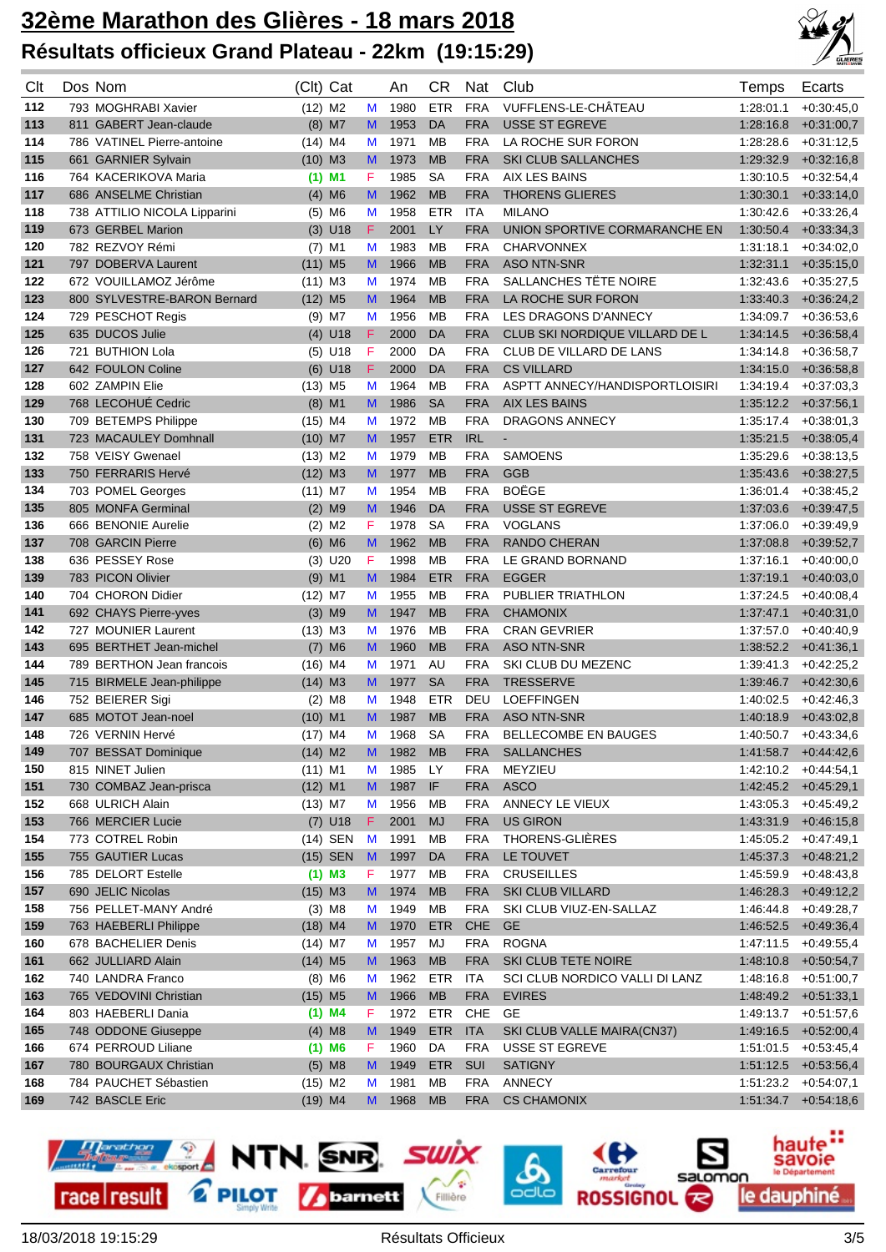

| Clt        | Dos Nom                                                | (Clt) Cat              |        | An           | CR              | Nat                      | Club                                   | Temps                  | Ecarts                       |
|------------|--------------------------------------------------------|------------------------|--------|--------------|-----------------|--------------------------|----------------------------------------|------------------------|------------------------------|
| 112        | 793 MOGHRABI Xavier                                    | $(12)$ M2              | M      | 1980         | <b>ETR</b>      | <b>FRA</b>               | VUFFLENS-LE-CHÂTEAU                    | 1:28:01.1              | $+0.30:45.0$                 |
| 113        | 811 GABERT Jean-claude                                 | $(8)$ M7               | M      | 1953         | <b>DA</b>       | <b>FRA</b>               | <b>USSE ST EGREVE</b>                  | 1:28:16.8              | $+0.31:00.7$                 |
| 114        | 786 VATINEL Pierre-antoine                             | $(14)$ M4              | M      | 1971         | MB              | <b>FRA</b>               | LA ROCHE SUR FORON                     | 1:28:28.6              | $+0.31:12.5$                 |
| 115        | 661 GARNIER Sylvain                                    | $(10)$ M3              | M      | 1973         | <b>MB</b>       | <b>FRA</b>               | <b>SKI CLUB SALLANCHES</b>             | 1:29:32.9              | $+0.32:16.8$                 |
| 116        | 764 KACERIKOVA Maria                                   | $(1)$ M1               | F      | 1985         | <b>SA</b>       | <b>FRA</b>               | <b>AIX LES BAINS</b>                   | 1:30:10.5              | $+0.32:54,4$                 |
| 117        | 686 ANSELME Christian                                  | $(4)$ M6               | M      | 1962         | <b>MB</b>       | <b>FRA</b>               | <b>THORENS GLIERES</b>                 | 1:30:30.1              | $+0.33:14.0$                 |
| 118        | 738 ATTILIO NICOLA Lipparini                           | $(5)$ M6               | M      | 1958         | <b>ETR</b>      | ITA                      | <b>MILANO</b>                          | 1:30:42.6              | $+0.33:26,4$                 |
| 119        | 673 GERBEL Marion                                      | $(3)$ U18              | F      | 2001         | LY              | <b>FRA</b>               | UNION SPORTIVE CORMARANCHE EN          | 1:30:50.4              | $+0.33.34,3$                 |
| 120        | 782 REZVOY Rémi                                        | $(7)$ M1               | M      | 1983         | MB              | <b>FRA</b>               | <b>CHARVONNEX</b>                      | 1.31.18.1              | $+0.34:02,0$                 |
| 121        | 797 DOBERVA Laurent                                    | $(11)$ M <sub>5</sub>  | M      | 1966         | <b>MB</b>       | <b>FRA</b>               | <b>ASO NTN-SNR</b>                     | 1:32:31.1              | $+0.35:15,0$                 |
| 122        | 672 VOUILLAMOZ Jérôme                                  | $(11)$ M3              | M      | 1974         | МB              | <b>FRA</b>               | SALLANCHES TÊTE NOIRE                  | 1:32:43.6              | $+0.35:27.5$                 |
| 123        | 800 SYLVESTRE-BARON Bernard                            | $(12)$ M <sub>5</sub>  | M      | 1964         | <b>MB</b>       | <b>FRA</b>               | LA ROCHE SUR FORON                     | 1:33:40.3              | $+0.36:24,2$                 |
| 124        | 729 PESCHOT Regis                                      | $(9)$ M7               | M      | 1956         | MB              | <b>FRA</b>               | LES DRAGONS D'ANNECY                   | 1:34:09.7              | $+0.36.53,6$                 |
| 125        | 635 DUCOS Julie                                        | $(4)$ U18              | F      | 2000         | DA              | <b>FRA</b>               | CLUB SKI NORDIQUE VILLARD DE L         | 1:34:14.5              | $+0.36.58,4$                 |
| 126        | 721 BUTHION Lola                                       | $(5)$ U18              | F      | 2000         | DA              | <b>FRA</b>               | CLUB DE VILLARD DE LANS                | 1:34:14.8              | $+0.36.58,7$                 |
| 127        | 642 FOULON Coline                                      | $(6)$ U18              | F      | 2000         | DA              | <b>FRA</b>               | <b>CS VILLARD</b>                      | 1:34:15.0              | $+0.36.58,8$                 |
| 128        | 602 ZAMPIN Elie                                        | $(13)$ M <sub>5</sub>  | M      | 1964         | MB              | <b>FRA</b>               | ASPTT ANNECY/HANDISPORTLOISIRI         | 1:34:19.4              | $+0.37:03,3$                 |
| 129        | 768 LECOHUÉ Cedric                                     | $(8)$ M1               | M      | 1986         | <b>SA</b>       | <b>FRA</b>               | <b>AIX LES BAINS</b>                   | 1:35:12.2              | $+0.37:56.1$                 |
| 130        | 709 BETEMPS Philippe                                   | $(15)$ M4              | М      | 1972         | MB              | <b>FRA</b>               | DRAGONS ANNECY                         | 1:35:17.4              | $+0.38.01.3$                 |
| 131        | 723 MACAULEY Domhnall                                  | $(10)$ M7              | M      | 1957         | <b>ETR</b>      | <b>IRL</b>               | $\blacksquare$                         | 1:35:21.5              | $+0.38:05,4$                 |
| 132        | 758 VEISY Gwenael                                      | $(13)$ M2              | M      | 1979         | MB              | <b>FRA</b>               | <b>SAMOENS</b>                         | 1:35:29.6              | $+0.38:13.5$                 |
| 133        | 750 FERRARIS Hervé                                     | $(12)$ M3              | M      | 1977         | <b>MB</b>       | <b>FRA</b>               | <b>GGB</b>                             | 1:35:43.6              | $+0.38:27,5$                 |
| 134        | 703 POMEL Georges                                      | $(11)$ M7              | M      | 1954         | MB              | <b>FRA</b>               | <b>BOËGE</b>                           | 1:36:01.4              | $+0.38:45,2$                 |
| 135        | 805 MONFA Germinal                                     | $(2)$ M9               | M      | 1946         | DA              | <b>FRA</b>               | <b>USSE ST EGREVE</b>                  | 1:37:03.6              | $+0.39.47,5$                 |
| 136        | 666 BENONIE Aurelie                                    | $(2)$ M <sub>2</sub>   | F      | 1978         | <b>SA</b>       | <b>FRA</b>               | <b>VOGLANS</b>                         | 1:37:06.0              | $+0.39.49.9$                 |
| 137        | 708 GARCIN Pierre                                      | $(6)$ M6               | M      | 1962         | <b>MB</b>       | <b>FRA</b>               | <b>RANDO CHERAN</b>                    | 1:37:08.8              | $+0.39:52,7$                 |
| 138        | 636 PESSEY Rose                                        | $(3)$ U20              | F      | 1998         | MB              | <b>FRA</b>               | LE GRAND BORNAND                       | 1:37:16.1              | $+0.40:00,0$                 |
| 139        | 783 PICON Olivier                                      | $(9)$ M1               | M      | 1984         | <b>ETR</b>      | <b>FRA</b>               | <b>EGGER</b>                           | 1:37:19.1              | $+0.40:03,0$                 |
| 140        | 704 CHORON Didier                                      | $(12)$ M7              | M      | 1955         | MB              | <b>FRA</b>               | PUBLIER TRIATHLON                      | 1:37:24.5              | $+0.40:08,4$                 |
| 141        | 692 CHAYS Pierre-yves                                  | $(3)$ M9               | M      | 1947         | <b>MB</b>       | <b>FRA</b>               | <b>CHAMONIX</b>                        | 1.37.47.1              | $+0.40:31,0$                 |
| 142        | 727 MOUNIER Laurent                                    | $(13)$ M3              | M      | 1976         | МB              | <b>FRA</b>               | <b>CRAN GEVRIER</b>                    | 1:37:57.0              | $+0.40:40,9$                 |
| 143<br>144 | 695 BERTHET Jean-michel                                | $(7)$ M6               | M      | 1960         | <b>MB</b><br>AU | <b>FRA</b>               | <b>ASO NTN-SNR</b>                     | 1:38:52.2              | $+0.41:36,1$                 |
| 145        | 789 BERTHON Jean francois<br>715 BIRMELE Jean-philippe | $(16)$ M4<br>$(14)$ M3 | M<br>M | 1971<br>1977 | <b>SA</b>       | <b>FRA</b><br><b>FRA</b> | SKI CLUB DU MEZENC<br><b>TRESSERVE</b> | 1:39:41.3              | $+0.42:25,2$<br>$+0.42:30,6$ |
| 146        | 752 BEIERER Sigi                                       | $(2)$ M <sub>8</sub>   | M      | 1948         | <b>ETR</b>      | DEU                      | <b>LOEFFINGEN</b>                      | 1:39.46.7<br>1:40:02.5 | $+0.42:46,3$                 |
| 147        | 685 MOTOT Jean-noel                                    | $(10)$ M1              | M      | 1987         | <b>MB</b>       | <b>FRA</b>               | <b>ASO NTN-SNR</b>                     | 1:40:18.9              | $+0.43:02.8$                 |
| 148        | 726 VERNIN Hervé                                       | $(17)$ M4              | M      | 1968         | <b>SA</b>       | <b>FRA</b>               | <b>BELLECOMBE EN BAUGES</b>            | 1:40:50.7              | $+0.43.34.6$                 |
| 149        | 707 BESSAT Dominique                                   | $(14)$ M2              | M      | 1982         | <b>MB</b>       | <b>FRA</b>               | <b>SALLANCHES</b>                      |                        | $1:41:58.7$ +0:44:42,6       |
| 150        | 815 NINET Julien                                       | $(11)$ M1              | M      | 1985         | LY              | <b>FRA</b>               | MEYZIEU                                | 1:42:10.2              | $+0.44.54,1$                 |
| 151        | 730 COMBAZ Jean-prisca                                 | $(12)$ M1              | M      | 1987         | IF              | <b>FRA</b>               | <b>ASCO</b>                            |                        | $1:42:45.2$ +0:45:29,1       |
| 152        | 668 ULRICH Alain                                       | $(13)$ M7              | M      | 1956         | МB              | <b>FRA</b>               | ANNECY LE VIEUX                        | 1:43:05.3              | $+0.45:49,2$                 |
| 153        | 766 MERCIER Lucie                                      | $(7)$ U18              | F.     | 2001         | MJ              | <b>FRA</b>               | <b>US GIRON</b>                        | 1:43:31.9              | $+0.46:15,8$                 |
| 154        | 773 COTREL Robin                                       | $(14)$ SEN             | M      | 1991         | MВ              | <b>FRA</b>               | THORENS-GLIÈRES                        | 1:45:05.2              | $+0.47:49,1$                 |
| 155        | 755 GAUTIER Lucas                                      | (15) SEN               | M      | 1997         | DA              | <b>FRA</b>               | LE TOUVET                              |                        | $1:45:37.3$ +0:48:21,2       |
| 156        | 785 DELORT Estelle                                     | $(1)$ M3               | F.     | 1977         | MВ              | <b>FRA</b>               | <b>CRUSEILLES</b>                      | 1:45:59.9              | $+0.48:43.8$                 |
| 157        | 690 JELIC Nicolas                                      | $(15)$ M3              | M      | 1974         | <b>MB</b>       | <b>FRA</b>               | <b>SKI CLUB VILLARD</b>                | 1:46:28.3              | $+0.49:12,2$                 |
| 158        | 756 PELLET-MANY André                                  | $(3)$ M <sub>8</sub>   | M      | 1949         | МB              | <b>FRA</b>               | SKI CLUB VIUZ-EN-SALLAZ                | 1:46:44.8              | $+0.49:28.7$                 |
| 159        | 763 HAEBERLI Philippe                                  | $(18)$ M4              | M      | 1970         | <b>ETR</b>      | CHE                      | <b>GE</b>                              | 1:46:52.5              | $+0.49.36,4$                 |
| 160        | 678 BACHELIER Denis                                    | $(14)$ M7              | M      | 1957         | MJ              | <b>FRA</b>               | <b>ROGNA</b>                           | 1:47:11.5              | $+0.49.55,4$                 |
| 161        | 662 JULLIARD Alain                                     | $(14)$ M <sub>5</sub>  | M      | 1963         | <b>MB</b>       | <b>FRA</b>               | SKI CLUB TETE NOIRE                    |                        | $1:48:10.8$ +0:50:54,7       |
| 162        | 740 LANDRA Franco                                      | $(8)$ M6               | M      | 1962         | <b>ETR</b>      | <b>ITA</b>               | SCI CLUB NORDICO VALLI DI LANZ         | 1:48:16.8              | $+0.51:00,7$                 |
| 163        | 765 VEDOVINI Christian                                 | $(15)$ M5              | M.     | 1966         | <b>MB</b>       | <b>FRA</b>               | <b>EVIRES</b>                          |                        | $1:48:49.2$ $+0:51:33,1$     |
| 164        | 803 HAEBERLI Dania                                     | $(1)$ M4               | F.     | 1972         | ETR             | CHE                      | GE                                     | 1:49:13.7              | $+0.51:57,6$                 |
| 165        | 748 ODDONE Giuseppe                                    | $(4)$ M <sub>8</sub>   | M      | 1949         | <b>ETR</b>      | <b>ITA</b>               | SKI CLUB VALLE MAIRA(CN37)             |                        | $1:49:16.5$ +0:52:00,4       |
| 166        | 674 PERROUD Liliane                                    | $(1)$ M6               | F.     | 1960         | DA              | <b>FRA</b>               | USSE ST EGREVE                         |                        | $1:51:01.5$ +0:53:45,4       |
| 167        | 780 BOURGAUX Christian                                 | $(5)$ M8               | M      | 1949         | <b>ETR</b>      | <b>SUI</b>               | <b>SATIGNY</b>                         |                        | $1:51:12.5$ +0:53:56,4       |
| 168        | 784 PAUCHET Sébastien                                  | $(15)$ M2              | M      | 1981         | ΜВ              | <b>FRA</b>               | ANNECY                                 |                        | $1:51:23.2$ +0:54:07,1       |
| 169        | 742 BASCLE Eric                                        | $(19)$ M4              | M      | 1968         | <b>MB</b>       | <b>FRA</b>               | <b>CS CHAMONIX</b>                     |                        | $1:51:34.7$ +0:54:18,6       |

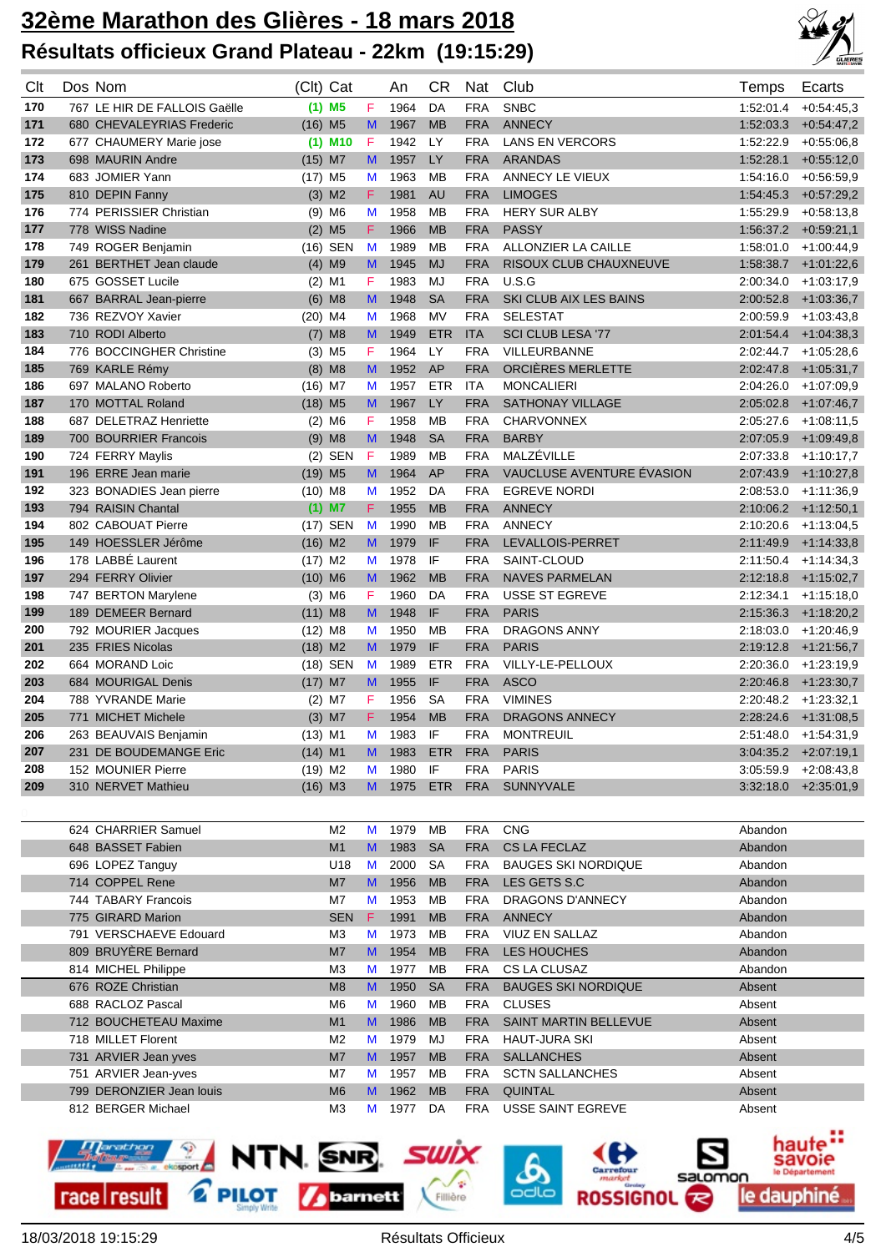

| Clt | Dos Nom                      | (Clt) Cat             |    | An             | <b>CR</b>  | Nat        | Club                             | Temps     | Ecarts                 |
|-----|------------------------------|-----------------------|----|----------------|------------|------------|----------------------------------|-----------|------------------------|
| 170 | 767 LE HIR DE FALLOIS Gaëlle | $(1)$ M5              | F  | 1964           | DA         | <b>FRA</b> | <b>SNBC</b>                      | 1:52:01.4 | $+0.54.45.3$           |
| 171 | 680 CHEVALEYRIAS Frederic    | $(16)$ M <sub>5</sub> | M  | 1967           | <b>MB</b>  | <b>FRA</b> | <b>ANNECY</b>                    | 1:52:03.3 | $+0.54:47.2$           |
| 172 | 677 CHAUMERY Marie jose      | $(1)$ M10             | F  | 1942           | LY         | <b>FRA</b> | <b>LANS EN VERCORS</b>           | 1:52:22.9 | $+0.55:06,8$           |
| 173 | 698 MAURIN Andre             | $(15)$ M7             | M  | 1957           | LY         | <b>FRA</b> | <b>ARANDAS</b>                   | 1:52:28.1 | $+0.55:12,0$           |
| 174 | 683 JOMIER Yann              | $(17)$ M <sub>5</sub> | M  | 1963           | MB         | <b>FRA</b> | ANNECY LE VIEUX                  | 1:54:16.0 | $+0.56.59,9$           |
| 175 | 810 DEPIN Fanny              | $(3)$ M2              | F. | 1981           | <b>AU</b>  | <b>FRA</b> | <b>LIMOGES</b>                   | 1:54:45.3 | $+0.57:29,2$           |
| 176 | 774 PERISSIER Christian      | $(9)$ M6              | M  | 1958           | МB         | <b>FRA</b> | <b>HERY SUR ALBY</b>             | 1:55:29.9 | $+0.58:13,8$           |
| 177 | 778 WISS Nadine              | $(2)$ M <sub>5</sub>  | F  | 1966           | <b>MB</b>  | <b>FRA</b> | <b>PASSY</b>                     |           | $1:56:37.2$ +0:59:21,1 |
| 178 | 749 ROGER Benjamin           | (16) SEN              | M  | 1989           | MB         | <b>FRA</b> | <b>ALLONZIER LA CAILLE</b>       | 1:58:01.0 | $+1:00:44,9$           |
| 179 | 261 BERTHET Jean claude      | $(4)$ M9              | M  | 1945           | <b>MJ</b>  | <b>FRA</b> | RISOUX CLUB CHAUXNEUVE           | 1.58.38.7 | $+1:01:22,6$           |
| 180 | 675 GOSSET Lucile            | $(2)$ M1              | F  | 1983           | MJ         | <b>FRA</b> | U.S.G                            | 2:00:34.0 | $+1:03:17,9$           |
| 181 | 667 BARRAL Jean-pierre       | $(6)$ M <sub>8</sub>  | M  | 1948           | <b>SA</b>  | <b>FRA</b> | SKI CLUB AIX LES BAINS           | 2:00:52.8 | $+1:03:36,7$           |
| 182 | 736 REZVOY Xavier            | $(20)$ M4             | M  | 1968           | MV         | <b>FRA</b> | <b>SELESTAT</b>                  | 2:00:59.9 | $+1:03:43,8$           |
| 183 | 710 RODI Alberto             | $(7)$ M8              | M  | 1949           | <b>ETR</b> | <b>ITA</b> | SCI CLUB LESA '77                | 2:01:54.4 | $+1:04:38,3$           |
| 184 | 776 BOCCINGHER Christine     | $(3)$ M <sub>5</sub>  | F  | 1964           | LY         | <b>FRA</b> | VILLEURBANNE                     | 2:02:44.7 | $+1:05:28,6$           |
| 185 | 769 KARLE Rémy               | $(8)$ M8              | M  | 1952           | AP         | <b>FRA</b> | ORCIÈRES MERLETTE                | 2:02:47.8 | $+1.05:31,7$           |
| 186 | 697 MALANO Roberto           | $(16)$ M7             | M  | 1957           | <b>ETR</b> | <b>ITA</b> | <b>MONCALIERI</b>                | 2:04:26.0 | $+1:07:09,9$           |
| 187 | 170 MOTTAL Roland            | $(18)$ M <sub>5</sub> | M  | 1967           | LY         | <b>FRA</b> | <b>SATHONAY VILLAGE</b>          | 2:05:02.8 | $+1:07:46.7$           |
| 188 | 687 DELETRAZ Henriette       | $(2)$ M6              | F. | 1958           | MB         | <b>FRA</b> | <b>CHARVONNEX</b>                | 2:05:27.6 | $+1:08:11,5$           |
| 189 | 700 BOURRIER Francois        | $(9)$ M8              | M  | 1948           | <b>SA</b>  | <b>FRA</b> | <b>BARBY</b>                     | 2:07:05.9 | $+1:09:49,8$           |
| 190 | 724 FERRY Maylis             | $(2)$ SEN             | F  | 1989           | <b>MB</b>  | <b>FRA</b> | MALZÉVILLE                       | 2:07:33.8 | $+1:10:17,7$           |
| 191 | 196 ERRE Jean marie          | $(19)$ M <sub>5</sub> | M  | 1964           | AP         | <b>FRA</b> | VAUCLUSE AVENTURE ÉVASION        | 2:07:43.9 | $+1:10:27,8$           |
| 192 | 323 BONADIES Jean pierre     | $(10)$ M8             | M  | 1952           | DA         | <b>FRA</b> | <b>EGREVE NORDI</b>              | 2:08:53.0 | +1:11:36,9             |
| 193 | 794 RAISIN Chantal           | $(1)$ M7              | F. | 1955           | <b>MB</b>  | <b>FRA</b> | <b>ANNECY</b>                    |           | $2:10:06.2$ +1:12:50,1 |
| 194 | 802 CABOUAT Pierre           | SEN<br>(17)           | M  | 1990           | <b>MB</b>  | <b>FRA</b> | <b>ANNECY</b>                    | 2:10:20.6 | $+1:13:04,5$           |
| 195 | 149 HOESSLER Jérôme          | $(16)$ M2             | M  | 1979           | IF         | <b>FRA</b> | LEVALLOIS-PERRET                 | 2:11:49.9 | $+1.14.33,8$           |
| 196 | 178 LABBE Laurent            | $(17)$ M2             | M  | 1978           | IF         | <b>FRA</b> | SAINT-CLOUD                      | 2:11:50.4 | $+1:14:34,3$           |
| 197 | 294 FERRY Olivier            | $(10)$ M6             | M  | 1962           | <b>MB</b>  | <b>FRA</b> | <b>NAVES PARMELAN</b>            | 2:12:18.8 | $+1:15:02,7$           |
| 198 | 747 BERTON Marylene          | $(3)$ M6              | F  | 1960           | DA         | <b>FRA</b> | <b>USSE ST EGREVE</b>            | 2:12:34.1 | $+1:15:18,0$           |
| 199 | 189 DEMEER Bernard           | $(11)$ M8             | M  | 1948           | IF         | <b>FRA</b> | <b>PARIS</b>                     | 2:15:36.3 | $+1:18:20,2$           |
| 200 | 792 MOURIER Jacques          | $(12)$ M8             | M  | 1950           | MB         | <b>FRA</b> | DRAGONS ANNY                     | 2:18:03.0 | $+1:20:46,9$           |
| 201 | 235 FRIES Nicolas            | $(18)$ M2             | M  | 1979           | IF         | <b>FRA</b> | <b>PARIS</b>                     | 2:19:12.8 | $+1:21:56,7$           |
| 202 | 664 MORAND Loic              | (18) SEN              | M  | 1989           | <b>ETR</b> | <b>FRA</b> | VILLY-LE-PELLOUX                 | 2:20:36.0 | $+1:23:19,9$           |
| 203 | 684 MOURIGAL Denis           | $(17)$ M7             | M  | 1955           | IF         | <b>FRA</b> | <b>ASCO</b>                      | 2:20:46.8 | $+1:23:30,7$           |
| 204 | 788 YVRANDE Marie            | $(2)$ M7              | F  | 1956           | <b>SA</b>  | <b>FRA</b> | <b>VIMINES</b>                   | 2:20:48.2 | $+1.23.32,1$           |
| 205 | 771 MICHET Michele           | $(3)$ M7              | F. | 1954           | <b>MB</b>  | <b>FRA</b> | DRAGONS ANNECY                   | 2:28:24.6 | $+1:31:08,5$           |
| 206 | 263 BEAUVAIS Benjamin        | $(13)$ M1             | М  | 1983           | IF         | <b>FRA</b> | <b>MONTREUIL</b>                 | 2:51:48.0 | $+1.54.31,9$           |
| 207 | 231 DE BOUDEMANGE Eric       | $(14)$ M1             |    | M 1983         |            | ETR FRA    | <b>PARIS</b>                     |           | $3:04:35.2$ +2:07:19,1 |
| 208 | 152 MOUNIER Pierre           | $(19)$ M2             | M  | 1980           | IF         | <b>FRA</b> | <b>PARIS</b>                     |           | $3:05:59.9$ +2:08:43,8 |
| 209 | 310 NERVET Mathieu           | $(16)$ M3             |    | M 1975 ETR FRA |            |            | SUNNYVALE                        |           | $3:32:18.0 +2:35:01,9$ |
|     |                              |                       |    |                |            |            |                                  |           |                        |
|     | 624 CHARRIER Samuel          | M <sub>2</sub>        | M  | 1979           | МB         | <b>FRA</b> | <b>CNG</b>                       | Abandon   |                        |
|     | 648 BASSET Fabien            | M1                    | M  | 1983           | <b>SA</b>  | <b>FRA</b> | CS LA FECLAZ                     | Abandon   |                        |
|     | 696 LOPEZ Tanguy             | U18                   | M  | 2000           | SA         | <b>FRA</b> | <b>BAUGES SKI NORDIQUE</b>       | Abandon   |                        |
|     | 714 COPPEL Rene              | M7                    | M  | 1956           | <b>MB</b>  | <b>FRA</b> | LES GETS S.C                     | Abandon   |                        |
|     | 744 TABARY Francois          | M7                    | M  | 1953           | MB         | <b>FRA</b> | DRAGONS D'ANNECY                 | Abandon   |                        |
|     | 775 GIRARD Marion            | <b>SEN</b>            | F. | 1991           | <b>MB</b>  | <b>FRA</b> | ANNECY                           | Abandon   |                        |
|     | 791 VERSCHAEVE Edouard       | MЗ                    | M  | 1973           | MВ         | <b>FRA</b> | VIUZ EN SALLAZ                   | Abandon   |                        |
|     | 809 BRUYÈRE Bernard          | M7                    | M  | 1954           | <b>MB</b>  | <b>FRA</b> | LES HOUCHES                      | Abandon   |                        |
|     | 814 MICHEL Philippe          | M <sub>3</sub>        | M  | 1977           | MВ         | FRA        | CS LA CLUSAZ                     | Abandon   |                        |
|     | 676 ROZE Christian           | MA                    | M  | $1950$ $S_A$   |            |            | <b>ERA BALIGES SKI NORDIOLIE</b> | $A$ heant |                        |

| 814 MICHEL Philippe      | M3             |              | 1977 | MВ        | FRA        | CS LA CLUSAZ               | Abandon |
|--------------------------|----------------|--------------|------|-----------|------------|----------------------------|---------|
| 676 ROZE Christian       | M8             | M            | 1950 | - SA      | <b>FRA</b> | <b>BAUGES SKI NORDIQUE</b> | Absent  |
| 688 RACLOZ Pascal        | M6             | M            | 1960 | MВ        | <b>FRA</b> | CLUSES                     | Absent  |
| 712 BOUCHETEAU Maxime    | M1             | $\mathbf{M}$ | 1986 | <b>MB</b> | <b>FRA</b> | SAINT MARTIN BELLEVUE      | Absent  |
| 718 MILLET Florent       | M <sub>2</sub> | M            | 1979 | MJ        | <b>FRA</b> | HAUT-JURA SKI              | Absent  |
| 731 ARVIER Jean yves     | M <sub>7</sub> | $\mathbf{M}$ | 1957 | <b>MB</b> | <b>FRA</b> | <b>SALLANCHES</b>          | Absent  |
| 751 ARVIER Jean-yves     | M7             | M            | 1957 | MВ        | <b>FRA</b> | <b>SCTN SALLANCHES</b>     | Absent  |
| 799 DERONZIER Jean louis | M6             | $\mathbf{M}$ | 1962 | <b>MB</b> | <b>FRA</b> | <b>QUINTAL</b>             | Absent  |
| 812 BERGER Michael       | MЗ             | M            | 1977 | DA        | <b>FRA</b> | USSE SAINT EGREVE          | Absent  |